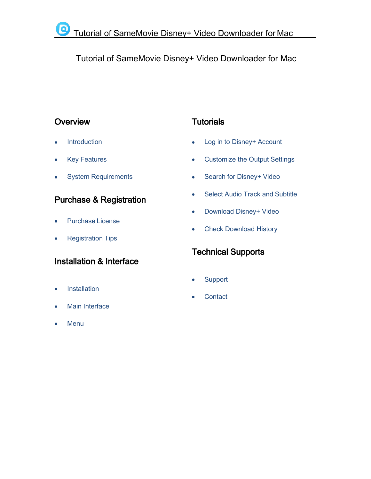# Tutorial of SameMovie Disney+ Video Downloader for Mac

# **[Overview](#page-1-0)**

- **[Introduction](#page-1-1)**
- Key [Features](#page-1-2)
- System [Requirements](#page-2-0)

# Purchase & [Registration](#page-3-0)

- [Purchase](#page-3-1) License
- [Registration](#page-3-2) Tips

# [Installation](#page-5-0) & Interface

- **[Installation](#page-5-1)**
- Main [Interface](#page-5-2)
- **[Menu](#page-6-0)**

# **[Tutorials](#page-7-0)**

- Log in to [Disney+](#page-7-1) Account
- [Customize](#page-8-0) the Output Settings
- Search for [Disney+](#page-8-1) Video
- Select Audio Track and [Subtitle](#page-9-0)
- [Download](#page-10-0) Disney+ Video
- Check [Download](#page-11-0) History

# [Technical](#page-12-0) Supports

- **[Support](#page-12-1)**
- **[Contact](#page-12-2)**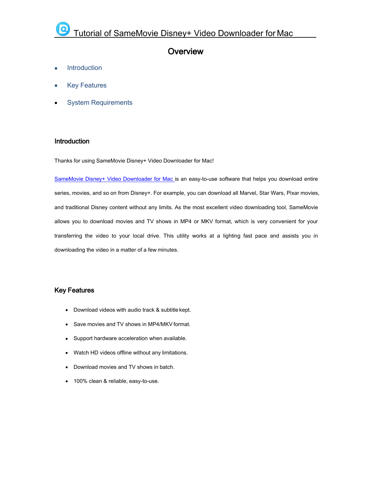# <span id="page-1-0"></span>**Overview**

- **[Introduction](#page-1-1)**
- Key [Features](#page-1-0)
- System [Requirements](#page-2-0)

#### <span id="page-1-1"></span>Introduction

Thanks for using SameMovie Disney+ Video Downloader for Mac!

SameMovie Disney+ Video [Downloader](https://www.samemovie.com/disneyplus-video-downloader-for-mac.html) for Mac is an easy-to-use software that helps you download entire series, movies, and so on from Disney+. For example, you can download all Marvel, Star Wars, Pixar movies, and traditional Disney content without any limits. As the mostexcellent video downloading tool, SameMovie allows you to download movies and TV shows in MP4 or MKV format, which is very convenient for your transferring the video to your local drive. This utility works at a lighting fast pace and assists you in downloading the video in a matter of a few minutes.

### <span id="page-1-2"></span>Key Features

- Download videos with audio track & subtitle kept.
- Save movies and TV shows in MP4/MKV format.
- Support hardware acceleration when available.
- Watch HD videos offline without any limitations.
- Download movies and TV shows in batch.
- 100% clean & reliable, easy-to-use.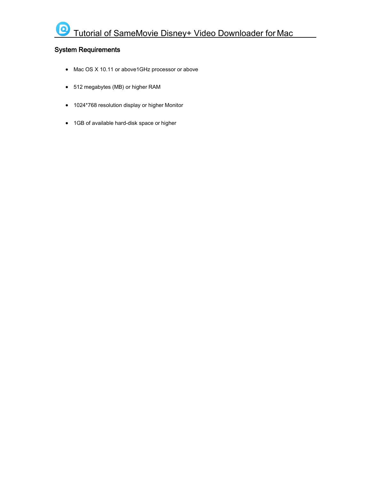# <span id="page-2-0"></span>System Requirements

- Mac OS X 10.11 or above1GHz processor or above
- 512 megabytes (MB) or higher RAM
- 1024\*768 resolution display or higher Monitor
- 1GB of available hard-disk space or higher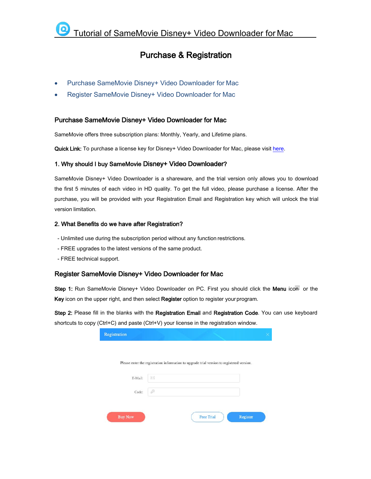# <span id="page-3-0"></span>Purchase & Registration

- Purchase SameMovie Disney+ Video [Downloader](#page-3-0) for Mac
- Register SameMovie Disney+ Video [Downloader](#page-3-0) for Mac

#### <span id="page-3-1"></span>Purchase SameMovie Disney+ Video Downloader for Mac

SameMovie offers three subscription plans: Monthly, Yearly, and Lifetime plans.

Quick Link: To purchase a license key for Disney+ Video Downloader for Mac, please visit [here](https://www.samemovie.com/disneyplus-video-downloader-mac/buynow.html).

#### 1. Why should I buy SameMovie Disney+ Video Downloader?

SameMovie Disney+ Video Downloader is a shareware, and the trial version only allows you to download the first 5 minutes of each video in HD quality. To get the full video, please purchase a license. After the purchase, you will be provided with your Registration Email and Registration key which will unlock the trial version limitation.

#### 2. What Benefits do we have after Registration?

- Unlimited use during the subscription period without any function restrictions.<br>- FREE upgrades to the latest versions of the same product.
- 
- FREE technical support.

#### <span id="page-3-2"></span>Register SameMovie Disney+ Video Downloader for Mac

Step 1: Run SameMovie Disney+ Video Downloader on PC. First you should click the Menu icon or the Key icon on the upper right, and then select Register option to register your program.

Step 2: Please fill in the blanks with the Registration Email and Registration Code. You can use keyboard shortcuts to copy (Ctrl+C) and paste (Ctrl+V) your license in the registration window.

|         |   | Please enter the registration information to upgrade trial version to registered version. |  |
|---------|---|-------------------------------------------------------------------------------------------|--|
| E-Mail: | × |                                                                                           |  |
| Code:   | P |                                                                                           |  |
|         |   |                                                                                           |  |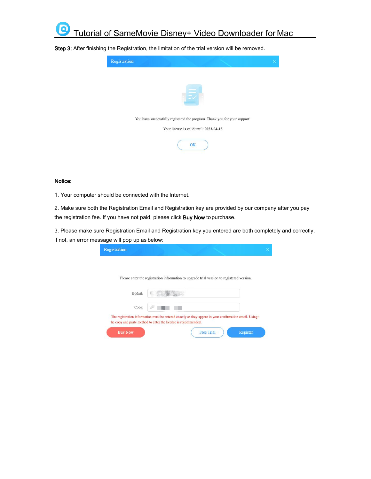

Step 3: After finishing the Registration, the limitation of the trial version will be removed.



#### Notice:

1. Your computer should be connected with the Internet.

2. Make sure both the Registration Email and Registration key are provided by our company after you pay the registration fee. If you have not paid, please click Buy Now to purchase.

3. Please make sure Registration Email and Registration key you entered are both completely and correctly, if not, an error message will pop up as below:

|         | Please enter the registration information to upgrade trial version to registered version. |  |
|---------|-------------------------------------------------------------------------------------------|--|
|         |                                                                                           |  |
| E-Mail: | Σ                                                                                         |  |
| Code:   | p                                                                                         |  |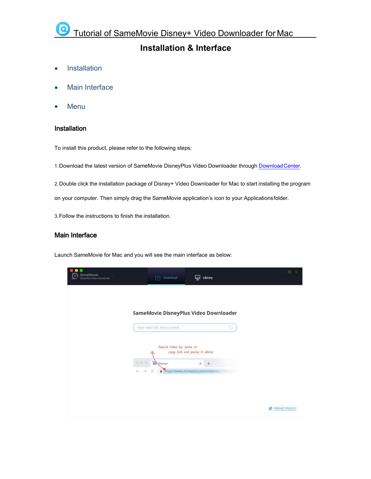# <span id="page-5-0"></span>**Installation & Interface**

- [Installation](#page-5-0)
- Main [Interface](#page-5-0)
- <span id="page-5-1"></span>[Menu](#page-6-0)

#### Installation

To install this product, please refer to the following steps:

1.Download the latest version of SameMovie DisneyPlus Video Downloader through [DownloadCenter](https://www.samemovie.com/download.html).

2.Double click the installation package of Disney+ Video Downloader for Mac to start installing the program

on your computer. Then simply drag the SameMovie application's icon to your Applicationsfolder.

3.Follow the instructions to finish the installation.

### <span id="page-5-2"></span>Main Interface

Launch SameMovie for Mac and you will see the main interface as below:

| <b>SameMovie</b><br>DisneyPlus Video Downloade | TV)<br>Download                                           | Library<br>닆                                            | ŵ                       |
|------------------------------------------------|-----------------------------------------------------------|---------------------------------------------------------|-------------------------|
|                                                | SameMovie DisneyPlus Video Downloader                     |                                                         |                         |
|                                                | Paste video URL here or search<br>Search video by name or | Q<br>copy link and paste it above                       |                         |
|                                                | Disney+<br>业业业<br>$\leftarrow$<br>$\rightarrow$<br>C      | $x +$<br>https://www.disneyplus.com/video/42c119cf-8576 |                         |
|                                                |                                                           |                                                         | <b>B</b> PRIVACY POLICY |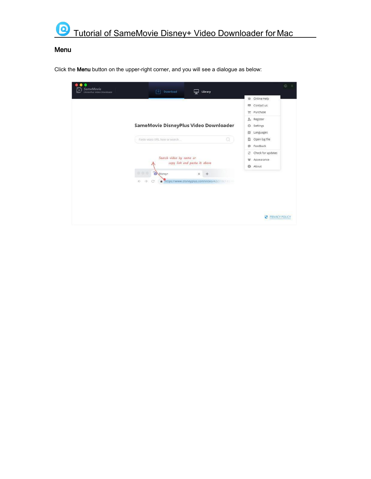

# <span id="page-6-0"></span>Menu

Click the Menu button on the upper-right corner, and you will see a dialogue as below:

| ۰<br>SameMovie<br>DisneyPlus Video Downloade | ΓUΤ<br>Download                                                                           | ⋤<br>Library                                               |                                                                                                                          | 硷 |
|----------------------------------------------|-------------------------------------------------------------------------------------------|------------------------------------------------------------|--------------------------------------------------------------------------------------------------------------------------|---|
|                                              | SameMovie DisneyPlus Video Downloader                                                     |                                                            | <b>Conline Help</b><br>Contact us<br>冊<br>Purchase<br>w<br>$\mathfrak{L}$<br>Register<br>焱<br>Settings<br>Languages<br>日 |   |
|                                              | Paste video URL here or search<br>Search video by name or<br>copy link and paste it above | Q                                                          | ō<br>Open log file<br>Feedback<br>ö<br>Check for updates<br>z<br>Appearance<br>u<br>$\Theta$<br>About                    |   |
|                                              | <br>Disney+<br>$\rightarrow$<br>$\leftarrow$<br>C.<br>û                                   | $+$<br>×<br>https://www.disneyplus.com/video/42c119cf-8376 |                                                                                                                          |   |
|                                              |                                                                                           |                                                            | PRIVACY POLICY                                                                                                           |   |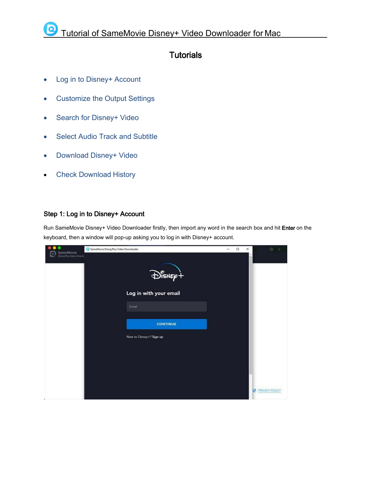# <span id="page-7-0"></span>**Tutorials**

- Log in to [Disney+](#page-7-0) Account
- [Customize](#page-8-0) the Output Settings
- Search for [Disney+](#page-8-1) Video
- Select Audio Track and [Subtitle](#page-9-0)
- [Download](#page-10-0) Disney+ Video
- Check [Download](#page-11-0) History

## <span id="page-7-1"></span>Step 1: Log in to Disney+ Account

Run SameMovie Disney+ Video Downloader firstly, then import any word in the search box and hit Enter on the keyboard, then a window will pop-up asking you to log in with Disney+ account.

| SameMovie<br>DisnevPlus Vicko Downic | SameMovie DisneyPlus Video Downloader          | $\Box$<br>$\times$<br>$\overline{\phantom{a}}$ | ◎ 三                   |
|--------------------------------------|------------------------------------------------|------------------------------------------------|-----------------------|
|                                      | $\bigoplus_{i=1}^n \mathbb{E}_{\mathcal{P}_i}$ |                                                |                       |
|                                      | Log in with your email                         |                                                |                       |
|                                      | Email                                          |                                                |                       |
|                                      | <b>CONTINUE</b>                                |                                                |                       |
|                                      | New to Disney+? Sign up                        |                                                |                       |
|                                      |                                                |                                                |                       |
|                                      |                                                |                                                |                       |
|                                      |                                                |                                                |                       |
|                                      |                                                |                                                | <b>PRIVACY POLICY</b> |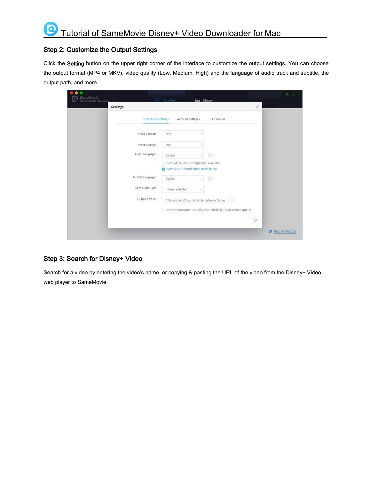### <span id="page-8-0"></span>Step 2: Customize the Output Settings

 $\Omega$ 

Click the Setting button on the upper right corner of the interface to customize the output settings. You can choose the output format (MP4 or MKV), video quality (Low, Medium, High) and the language of audio track and subtitle, the output path, and more.

| SameMovie<br>DisneyPlus Video Downloade |                    | $ \downarrow $ Download | Library                                                                           |                                                                                                                                                                                                                                                                                                                                                                                              |          | $\circledcirc$<br>$=$ |
|-----------------------------------------|--------------------|-------------------------|-----------------------------------------------------------------------------------|----------------------------------------------------------------------------------------------------------------------------------------------------------------------------------------------------------------------------------------------------------------------------------------------------------------------------------------------------------------------------------------------|----------|-----------------------|
|                                         | Settings           |                         |                                                                                   |                                                                                                                                                                                                                                                                                                                                                                                              | $\times$ |                       |
|                                         | Download Settings  | Account Settings        | Advanced                                                                          |                                                                                                                                                                                                                                                                                                                                                                                              |          |                       |
|                                         | Video Format:      | MP4                     |                                                                                   |                                                                                                                                                                                                                                                                                                                                                                                              |          |                       |
|                                         | Video Quality:     | High                    |                                                                                   |                                                                                                                                                                                                                                                                                                                                                                                              |          |                       |
|                                         | Audio Language:    | English                 | $\odot$<br>v.                                                                     |                                                                                                                                                                                                                                                                                                                                                                                              |          |                       |
|                                         |                    |                         | Save AD (Audio Description) if avaliable<br>Save 5.1 surround audio track, if any |                                                                                                                                                                                                                                                                                                                                                                                              |          |                       |
|                                         | Subtitle Language: | English                 | $\circledcirc$<br>$\mathcal{L}$                                                   |                                                                                                                                                                                                                                                                                                                                                                                              |          |                       |
|                                         | Save Subtitle as:  | Internal subtitles      | v                                                                                 |                                                                                                                                                                                                                                                                                                                                                                                              |          |                       |
|                                         | Output Folder:     |                         | C:\Users\betty\Documents\SameMovie Disney                                         | $\frac{1}{2} \frac{1}{2} \frac{1}{2} \frac{1}{2} \frac{1}{2} \frac{1}{2} \frac{1}{2} \frac{1}{2} \frac{1}{2} \frac{1}{2} \frac{1}{2} \frac{1}{2} \frac{1}{2} \frac{1}{2} \frac{1}{2} \frac{1}{2} \frac{1}{2} \frac{1}{2} \frac{1}{2} \frac{1}{2} \frac{1}{2} \frac{1}{2} \frac{1}{2} \frac{1}{2} \frac{1}{2} \frac{1}{2} \frac{1}{2} \frac{1}{2} \frac{1}{2} \frac{1}{2} \frac{1}{2} \frac{$ |          |                       |
|                                         |                    |                         | Put the computer to sleep after finishing the download queue                      |                                                                                                                                                                                                                                                                                                                                                                                              |          |                       |
|                                         |                    |                         |                                                                                   |                                                                                                                                                                                                                                                                                                                                                                                              | $\phi$   |                       |
|                                         |                    |                         |                                                                                   |                                                                                                                                                                                                                                                                                                                                                                                              | Ø        | PRIVACY POLICY        |

### <span id="page-8-1"></span>Step 3: Search for Disney+ Video

Search for a video by entering the video's name, or copying & pasting the URL of the video from the Disney+ Video web player to SameMovie.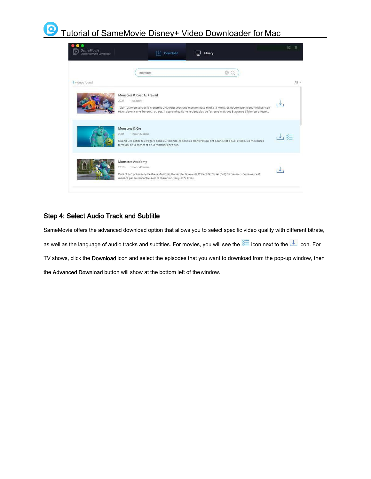#### $\bigcirc$ Tutorial of SameMovie Disney+ Video Downloader for Mac

| <b>SameMovie</b><br>DisneyPlus Video Downloade | Download<br>Library                                                                                                                                                                                                                                                                                 | 503        |
|------------------------------------------------|-----------------------------------------------------------------------------------------------------------------------------------------------------------------------------------------------------------------------------------------------------------------------------------------------------|------------|
| <b>B</b> videos found                          | monstres                                                                                                                                                                                                                                                                                            | All *      |
|                                                | Monstres & Cie : Au travail<br>2021<br>1 season<br>Tylor Tuskmon sort de la Monstres Université avec une mention et se rend à la Monstres et Compagnie pour réaliser son<br>rêve : devenir une Terreur ou pas. Il apprend qu'ils ne veulent plus de Terreurs mais des Blagueurs ! Tylor est affecté |            |
|                                                | Monstres & Cie<br>1 hour 32 mins<br>2001<br>Quand une petite fille s'égare dans leur monde, ce sont les monstres qui ont peur. C'est à Sulli et Bob, les meilleures<br>terreurs, de la cacher et de la ramener chez elle.                                                                           | $\sqrt{2}$ |
|                                                | Monstres Academy<br>2013 1 hour 43 mins<br>Durant son premier semestre à Monstres Université, le rêve de Robert Razowski (Bob) de devenir une terreur est<br>menacé par sa rencontre avec le champion. Jacques Sullivan.                                                                            |            |

## <span id="page-9-0"></span>Step 4: Select Audio Track and Subtitle

SameMovie offers the advanced download option that allows you to select specific video quality with different bitrate,

as well as the language of audio tracks and subtitles. For movies, you will see the  $\frac{1}{300}$  icon next to the  $\frac{1}{300}$  icon. For

TV shows, click the Download icon and select the episodes that you want to download from the pop-up window, then

the Advanced Download button will show at the bottom left of thewindow.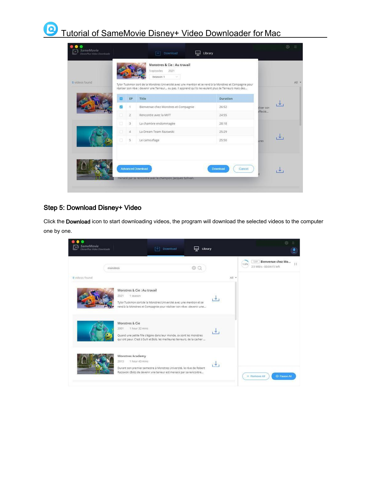## $\boldsymbol{\Theta}$ Tutorial of SameMovie Disney+ Video Downloader for Mac

| SameMovie<br>DisnevPlus Video Downloade<br>8 videos found |   |                         | Download<br>Monstres & Cie : Au travail<br>5 episodes<br>2021<br>Season 1<br>×.<br>Tylor Tuskmon sort de la Monstres Université avec une mention et se rend à la Monstres et Compagnie pour<br>réaliser son rêve : devenir une Terreur ou pas. Il apprend qu'ils ne veulent plus de Terreurs mais des | Library            |             | $\widehat{\mathbb{C}\mathbb{C}}$<br>All = |
|-----------------------------------------------------------|---|-------------------------|-------------------------------------------------------------------------------------------------------------------------------------------------------------------------------------------------------------------------------------------------------------------------------------------------------|--------------------|-------------|-------------------------------------------|
|                                                           |   | EP                      | Title                                                                                                                                                                                                                                                                                                 | Duration           |             |                                           |
|                                                           | ø | $\mathcal{L}$           | Bienvenue chez Monstres et Compagnie                                                                                                                                                                                                                                                                  | 26:52              | iliser son  |                                           |
|                                                           |   | $\overline{2}$          | Rencontre avec la MIFT                                                                                                                                                                                                                                                                                | 24:55              | iffecté     |                                           |
|                                                           | б | $\overline{\mathbf{3}}$ | La chambre endommagée                                                                                                                                                                                                                                                                                 | 28:18              |             |                                           |
|                                                           | п | $\Delta$                | La Dream Team Razowski                                                                                                                                                                                                                                                                                | 25:29              |             |                                           |
|                                                           | G | $\frac{1}{2}$           | Le camouflage                                                                                                                                                                                                                                                                                         | 25:50              | <b>UTGS</b> |                                           |
|                                                           |   |                         | Advanced Download<br>menacé par sa rencontre avec le champion, jacques Sullivan.                                                                                                                                                                                                                      | Download<br>Cancel |             |                                           |

## <span id="page-10-0"></span>Step 5: Download Disney+ Video

Click the Download icon to start downloading videos, the program will download the selected videos to the computer one by one.

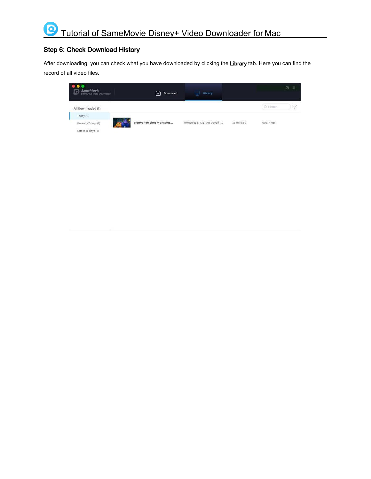# <span id="page-11-0"></span>Step 6: Check Download History

After downloading, you can check what you have downloaded by clicking the Library tab. Here you can find the record of all video files.

| SameMovie<br>DisneyPlus Vicko Downloade | 凹<br>Download           | Library<br>듶                  | $\mathbb{Q}$<br>$\equiv$    |
|-----------------------------------------|-------------------------|-------------------------------|-----------------------------|
| All Downloaded (1)                      |                         |                               | Q Search<br>$\triangledown$ |
| Today (1)<br>Recently 7 days (1)        | Bienvenue chez Monstres | Monstres & Cie : Au travail ( | 603.7 MB<br>26 mins 52      |
| Latest 30 days (1)                      |                         |                               |                             |
|                                         |                         |                               |                             |
|                                         |                         |                               |                             |
|                                         |                         |                               |                             |
|                                         |                         |                               |                             |
|                                         |                         |                               |                             |